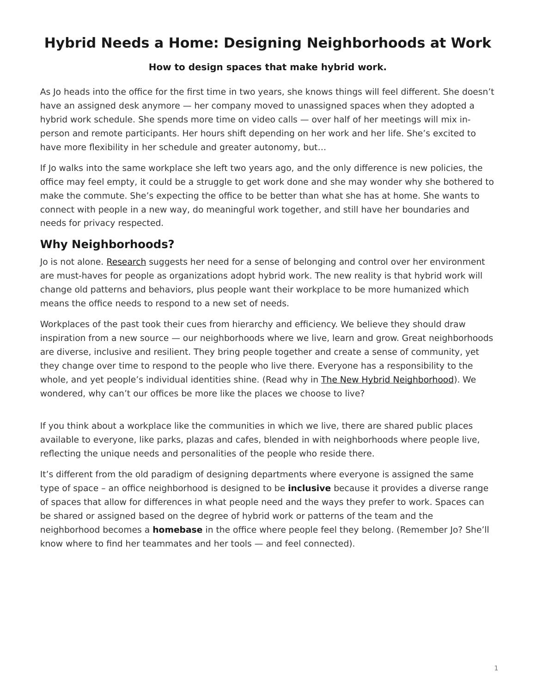# <span id="page-0-0"></span>**Hybrid Needs a Home: Designing Neighborhoods at Work**

#### **How to design spaces that make hybrid work.**

As Jo heads into the office for the first time in two years, she knows things will feel different. She doesn't have an assigned desk anymore — her company moved to unassigned spaces when they adopted a hybrid work schedule. She spends more time on video calls — over half of her meetings will mix inperson and remote participants. Her hours shift depending on her work and her life. She's excited to have more flexibility in her schedule and greater autonomy, but…

If Jo walks into the same workplace she left two years ago, and the only difference is new policies, the office may feel empty, it could be a struggle to get work done and she may wonder why she bothered to make the commute. She's expecting the office to be better than what she has at home. She wants to connect with people in a new way, do meaningful work together, and still have her boundaries and needs for privacy respected.

#### **Why Neighborhoods?**

Jo is not alone. [Research](https://www.steelcase.com/globalreport2022) suggests her need for a sense of belonging and control over her environment are must-haves for people as organizations adopt hybrid work. The new reality is that hybrid work will change old patterns and behaviors, plus people want their workplace to be more humanized which means the office needs to respond to a new set of needs.

Workplaces of the past took their cues from hierarchy and efficiency. We believe they should draw inspiration from a new source — our neighborhoods where we live, learn and grow. Great neighborhoods are diverse, inclusive and resilient. They bring people together and create a sense of community, yet they change over time to respond to the people who live there. Everyone has a responsibility to the whole, and yet people's individual identities shine. (Read why in [The New Hybrid Neighborhood\)](https://www.steelcase.com/research/articles/topics/work-better/new-hybrid-neighborhood/). We wondered, why can't our offices be more like the places we choose to live?

If you think about a workplace like the communities in which we live, there are shared public places available to everyone, like parks, plazas and cafes, blended in with neighborhoods where people live, reflecting the unique needs and personalities of the people who reside there.

It's different from the old paradigm of designing departments where everyone is assigned the same type of space – an office neighborhood is designed to be **inclusive** because it provides a diverse range of spaces that allow for differences in what people need and the ways they prefer to work. Spaces can be shared or assigned based on the degree of hybrid work or patterns of the team and the neighborhood becomes a **homebase** in the office where people feel they belong. (Remember Jo? She'll know where to find her teammates and her tools — and feel connected).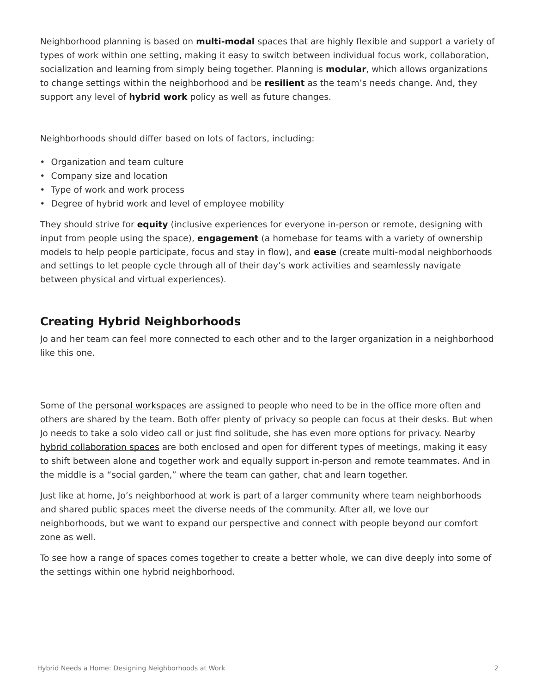Neighborhood planning is based on **multi-modal** spaces that are highly flexible and support a variety of types of work within one setting, making it easy to switch between individual focus work, collaboration, socialization and learning from simply being together. Planning is **modular**, which allows organizations to change settings within the neighborhood and be **resilient** as the team's needs change. And, they support any level of **hybrid work** policy as well as future changes.

Neighborhoods should differ based on lots of factors, including:

- Organization and team culture
- Company size and location
- Type of work and work process
- Degree of hybrid work and level of employee mobility

They should strive for **equity** (inclusive experiences for everyone in-person or remote, designing with input from people using the space), **engagement** (a homebase for teams with a variety of ownership models to help people participate, focus and stay in flow), and **ease** (create multi-modal neighborhoods and settings to let people cycle through all of their day's work activities and seamlessly navigate between physical and virtual experiences).

#### **Creating Hybrid Neighborhoods**

Jo and her team can feel more connected to each other and to the larger organization in a neighborhood like this one.

Some of the [personal workspaces](https://www.steelcase.com/spaces/work-better/personal-spaces/) are assigned to people who need to be in the office more often and others are shared by the team. Both offer plenty of privacy so people can focus at their desks. But when Jo needs to take a solo video call or just find solitude, she has even more options for privacy. Nearby [hybrid collaboration spaces](https://www.steelcase.com/spaces/hybrid-collection/) are both enclosed and open for different types of meetings, making it easy to shift between alone and together work and equally support in-person and remote teammates. And in the middle is a "social garden," where the team can gather, chat and learn together.

Just like at home, Jo's neighborhood at work is part of a larger community where team neighborhoods and shared public spaces meet the diverse needs of the community. After all, we love our neighborhoods, but we want to expand our perspective and connect with people beyond our comfort zone as well.

To see how a range of spaces comes together to create a better whole, we can dive deeply into some of the settings within one hybrid neighborhood.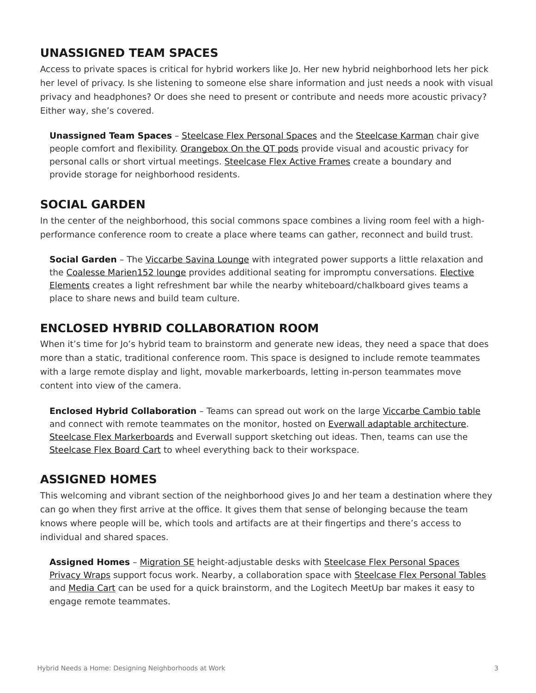#### **UNASSIGNED TEAM SPACES**

Access to private spaces is critical for hybrid workers like Jo. Her new hybrid neighborhood lets her pick her level of privacy. Is she listening to someone else share information and just needs a nook with visual privacy and headphones? Or does she need to present or contribute and needs more acoustic privacy? Either way, she's covered.

**Unassigned Team Spaces** – [Steelcase Flex Personal Spaces](https://www.steelcase.com/products/desk-systems/steelcase-flex-personal-spaces/) and the [Steelcase Karman](https://www.steelcase.com/products/office-chairs/steelcase-karman/) chair give people comfort and flexibility. [Orangebox On the QT pods](https://www.steelcase.com/products/pods/on-the-qt/) provide visual and acoustic privacy for personal calls or short virtual meetings. [Steelcase Flex Active Frames](https://www.steelcase.com/products/bookcases-cabinets/steelcase-flex-active-frames/) create a boundary and provide storage for neighborhood residents.

#### **SOCIAL GARDEN**

In the center of the neighborhood, this social commons space combines a living room feel with a highperformance conference room to create a place where teams can gather, reconnect and build trust.

**Social Garden** - The [Viccarbe Savina Lounge](https://www.steelcase.com/products/sofas/savina/) with integrated power supports a little relaxation and the [Coalesse Marien152 lounge](https://www.steelcase.com/products/lounge-chairs/marien152-lounge/) provides additional seating for impromptu conversations. [Elective](https://www.steelcase.com/products/desk-systems/elective-elements/) [Elements](https://www.steelcase.com/products/desk-systems/elective-elements/) creates a light refreshment bar while the nearby whiteboard/chalkboard gives teams a place to share news and build team culture.

#### **ENCLOSED HYBRID COLLABORATION ROOM**

When it's time for Jo's hybrid team to brainstorm and generate new ideas, they need a space that does more than a static, traditional conference room. This space is designed to include remote teammates with a large remote display and light, movable markerboards, letting in-person teammates move content into view of the camera.

**Enclosed Hybrid Collaboration** - Teams can spread out work on the large [Viccarbe Cambio table](https://www.steelcase.com/products/occasional-tables/cambio/) and connect with remote teammates on the monitor, hosted on [Everwall adaptable architecture.](https://www.steelcase.com/products/walls-work-walls/everwall/) [Steelcase Flex Markerboards](https://www.steelcase.com/products/education-whiteboards-accessories/steelcase-flex-markerboard-solutions/) and Everwall support sketching out ideas. Then, teams can use the [Steelcase Flex Board Cart](https://www.steelcase.com/products/steelcase-flex-carts/) to wheel everything back to their workspace.

#### **ASSIGNED HOMES**

This welcoming and vibrant section of the neighborhood gives Jo and her team a destination where they can go when they first arrive at the office. It gives them that sense of belonging because the team knows where people will be, which tools and artifacts are at their fingertips and there's access to individual and shared spaces.

Assigned Homes - [Migration SE](https://www.steelcase.com/products/height-adjustable-desks/migration-se/) height-adjustable desks with [Steelcase Flex Personal Spaces](https://www.steelcase.com/products/desk-systems/steelcase-flex-personal-spaces/) [Privacy Wraps](https://www.steelcase.com/products/desk-systems/steelcase-flex-personal-spaces/) support focus work. Nearby, a collaboration space with [Steelcase Flex Personal Tables](https://www.steelcase.com/products/desks/steelcase-flex-tables/) and [Media Cart](https://www.steelcase.com/products/collaboration/steelcase-flex-media-cart/) can be used for a quick brainstorm, and the Logitech MeetUp bar makes it easy to engage remote teammates.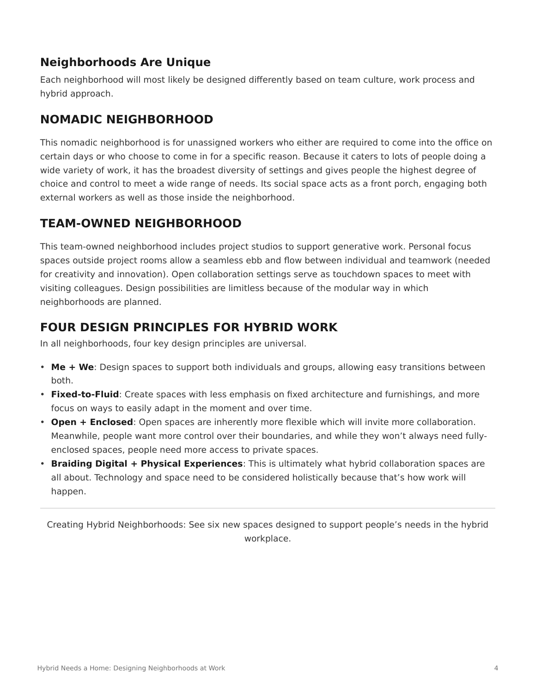#### **Neighborhoods Are Unique**

Each neighborhood will most likely be designed differently based on team culture, work process and hybrid approach.

## **NOMADIC NEIGHBORHOOD**

This nomadic neighborhood is for unassigned workers who either are required to come into the office on certain days or who choose to come in for a specific reason. Because it caters to lots of people doing a wide variety of work, it has the broadest diversity of settings and gives people the highest degree of choice and control to meet a wide range of needs. Its social space acts as a front porch, engaging both external workers as well as those inside the neighborhood.

### **TEAM-OWNED NEIGHBORHOOD**

This team-owned neighborhood includes project studios to support generative work. Personal focus spaces outside project rooms allow a seamless ebb and flow between individual and teamwork (needed for creativity and innovation). Open collaboration settings serve as touchdown spaces to meet with visiting colleagues. Design possibilities are limitless because of the modular way in which neighborhoods are planned.

### **FOUR DESIGN PRINCIPLES FOR HYBRID WORK**

In all neighborhoods, four key design principles are universal.

- **Me + We**: Design spaces to support both individuals and groups, allowing easy transitions between both.
- **Fixed-to-Fluid**: Create spaces with less emphasis on fixed architecture and furnishings, and more focus on ways to easily adapt in the moment and over time.
- **Open + Enclosed**: Open spaces are inherently more flexible which will invite more collaboration. Meanwhile, people want more control over their boundaries, and while they won't always need fullyenclosed spaces, people need more access to private spaces.
- **Braiding Digital + Physical Experiences**: This is ultimately what hybrid collaboration spaces are all about. Technology and space need to be considered holistically because that's how work will happen.

Creating Hybrid Neighborhoods: See six new spaces designed to support people's needs in the hybrid workplace.